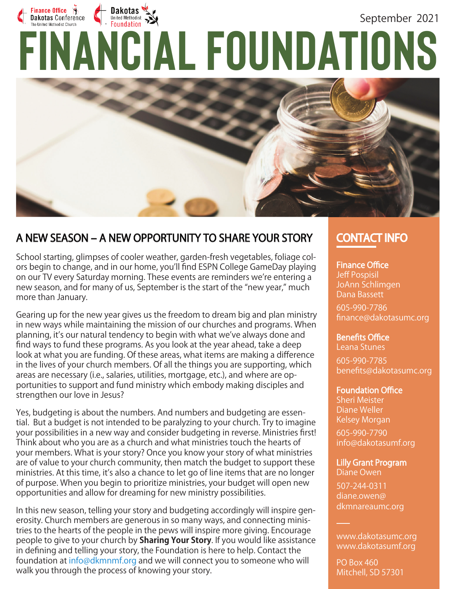# Finance Office<br>Dakotas Conference EXPRESS COnference **September 2021**<br>
FINANCIAL FOUNDATIONS Dakotas September 2021



## A NEW SEASON – A NEW OPPORTUNITY TO SHARE YOUR STORY CONTACT INFO

School starting, glimpses of cooler weather, garden-fresh vegetables, foliage colors begin to change, and in our home, you'll find ESPN College GameDay playing on our TV every Saturday morning. These events are reminders we're entering a new season, and for many of us, September is the start of the "new year," much more than January.

Gearing up for the new year gives us the freedom to dream big and plan ministry in new ways while maintaining the mission of our churches and programs. When planning, it's our natural tendency to begin with what we've always done and find ways to fund these programs. As you look at the year ahead, take a deep look at what you are funding. Of these areas, what items are making a difference in the lives of your church members. Of all the things you are supporting, which areas are necessary (i.e., salaries, utilities, mortgage, etc.), and where are opportunities to support and fund ministry which embody making disciples and strengthen our love in Jesus?

Yes, budgeting is about the numbers. And numbers and budgeting are essential. But a budget is not intended to be paralyzing to your church. Try to imagine your possibilities in a new way and consider budgeting in reverse. Ministries first! Think about who you are as a church and what ministries touch the hearts of your members. What is your story? Once you know your story of what ministries are of value to your church community, then match the budget to support these ministries. At this time, it's also a chance to let go of line items that are no longer of purpose. When you begin to prioritize ministries, your budget will open new opportunities and allow for dreaming for new ministry possibilities.

In this new season, telling your story and budgeting accordingly will inspire generosity. Church members are generous in so many ways, and connecting ministries to the hearts of the people in the pews will inspire more giving. Encourage people to give to your church by **Sharing Your Story**. If you would like assistance in defining and telling your story, the Foundation is here to help. Contact the foundation at info@dkmnmf.org and we will connect you to someone who will walk you through the process of knowing your story.

**Finance Office** Jeff Pospisil JoAnn Schlimgen Dana Bassett

605-990-7786 finance@dakotasumc.org

**Benefits Office** Leana Stunes 605-990-7785 benefits@dakotasumc.org

### **Foundation Office**

Sheri Meister Diane Weller Kelsey Morgan

605-990-7790 info@dakotasumf.org

Lilly Grant Program Diane Owen

507-244-0311 diane.owen@ dkmnareaumc.org

www.dakotasumc.org www.dakotasumf.org

PO Box 460 Mitchell, SD 57301